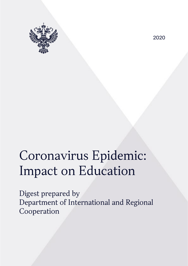

2020

# Coronavirus Epidemic: Impact on Education

Digest prepared by Department of International and Regional Cooperation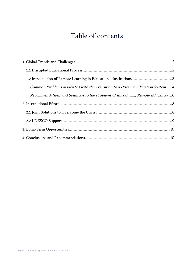## Table of contents

| Common Problems associated with the Transition to a Distance Education System4  |  |
|---------------------------------------------------------------------------------|--|
| Recommendations and Solutions to the Problems of Introducing Remote Education 6 |  |
|                                                                                 |  |
|                                                                                 |  |
|                                                                                 |  |
|                                                                                 |  |
|                                                                                 |  |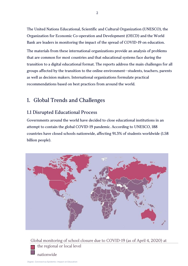The United Nations Educational, Scientific and Cultural Organization (UNESCO), the Organization for Economic Co-operation and Development (OECD) and the World Bank are leaders in monitoring the impact of the spread of COVID-19 on education.

The materials from these international organizations provide an analysis of problems that are common for most countries and that educational systems face during the transition to a digital educational format. The reports address the main challenges for all groups affected by the transition to the online environment—students, teachers, parents as well as decision makers. International organizations formulate practical recommendations based on best practices from around the world.

## <span id="page-2-0"></span>1. Global Trends and Challenges

### <span id="page-2-1"></span>1.1 Disrupted Educational Process

Governments around the world have decided to close educational institutions in an attempt to contain the global COVID-19 pandemic. According to UNESCO, 188 countries have closed schools nationwide, affecting 91.3% of students worldwide (1.58 billion people).



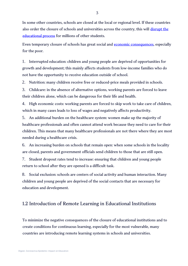In some other countries, schools are closed at the local or regional level. If these countries also order the closure of schools and universities across the country, this will disrupt the [educational process](https://ru.unesco.org/themes/education-%20emergencies/coronavirus-school-closures) for millions of other students.

Even temporary closure of schools has great social and [economic consequences,](https://en.unesco.org/themes/education-emergencies/coronavirus-school-closures/consequences) especially for the poor.

1. Interrupted education: children and young people are deprived of opportunities for growth and development; this mainly affects students from low-income families who do not have the opportunity to receive education outside of school.

2. Nutrition: many children receive free or reduced-price meals provided in schools.

3. Childcare: in the absence of alternative options, working parents are forced to leave their children alone, which can be dangerous for their life and health.

4. High economic costs: working parents are forced to skip work to take care of children, which in many cases leads to loss of wages and negatively affects productivity.

5. An additional burden on the healthcare system: women make up the majority of healthcare professionals and often cannot attend work because they need to care for their children. This means that many healthcare professionals are not there where they are most needed during a healthcare crisis.

6. An increasing burden on schools that remain open: when some schools in the locality are closed, parents and government officials send children to those that are still open.

7. Student dropout rates tend to increase: ensuring that children and young people return to school after they are opened is a difficult task.

8. Social exclusion: schools are centers of social activity and human interaction. Many children and young people are deprived of the social contacts that are necessary for education and development.

#### <span id="page-3-0"></span>1.2 Introduction of Remote Learning in Educational Institutions

To minimize the negative consequences of the closure of educational institutions and to create conditions for continuous learning, especially for the most vulnerable, many countries are introducing remote learning systems in schools and universities.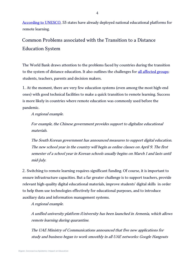[According to UNESCO,](https://en.unesco.org/themes/education-emergencies/coronavirus-school-closures/nationalresponses) 53 states have already deployed national educational platforms for remote learning.

## <span id="page-4-0"></span>Common Problems associated with the Transition to a Distance Education System

The World Bank draws attention to the problems faced by countries during the transition to the system of distance education. It also outlines the challenges for [all affected groups:](http://documents.worldbank.org/curated/en/266811584657843186/pdf/Rapid-Response-Briefing-%20Note-Remote-Learning-and-COVID-19-Outbreak.pdf) students, teachers, parents and decision makers.

1. At the moment, there are very few education systems (even among the most high-end ones) with good technical facilities to make a quick transition to remote learning. Success is more likely in countries where remote education was commonly used before the pandemic.

A regional example.

For example, the Chinese government provides support to digitalize educational materials.

The South Korean government has announced measures to support digital education. The new school year in the country will begin as online classes on April 9. The first semester of a school year in Korean schools usually begins on March 1 and lasts until mid-July.

2. Switching to remote learning requires significant funding. Of course, it is important to ensure infrastructure capacities. But a far greater challenge is to support teachers, provide relevant high-quality digital educational materials, improve students' digital skills in order to help them use technologies effectively for educational purposes, and to introduce auxiliary data and information management systems.

A regional example.

A unified university platform iUniversity has been launched in Armenia, which allows remote learning during quarantine.

The UAE Ministry of Communications announced that five new applications for study and business began to work smoothly in all UAE networks: Google Hangouts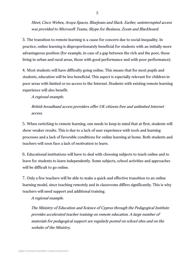Meet, Cisco Webex, Avaya Spaces, BlueJeans and Slack. Earlier, uninterrupted access was provided to Microsoft Teams, Skype for Business, Zoom and Blackboard.

3. The transition to remote learning is a cause for concern due to social inequality. In practice, online learning is disproportionately beneficial for students with an initially more advantageous position (for example, in case of a gap between the rich and the poor, those living in urban and rural areas, those with good performance and with poor performance).

4. Most students will have difficulty going online. This means that for most pupils and students, education will be less beneficial. This aspect is especially relevant for children in poor areas with limited or no access to the Internet. Students with existing remote learning experience will also benefit.

A regional example.

#### British broadband access providers offer UK citizens free and unlimited Internet access.

5. When switching to remote learning, one needs to keep in mind that at first, students will show weaker results. This is due to a lack of user experience with tools and learning processes and a lack of favorable conditions for online learning at home. Both students and teachers will soon face a lack of motivation to learn.

6. Educational institutions will have to deal with choosing subjects to teach online and to leave for students to learn independently. Some subjects, school activities and approaches will be difficult to go online.

7. Only a few teachers will be able to make a quick and effective transition to an online learning model, since teaching remotely and in classrooms differs significantly. This is why teachers will need support and additional training.

A regional example.

The Ministry of Education and Science of Cyprus through the Pedagogical Institute provides accelerated teacher training on remote education. A large number of materials for pedagogical support are regularly posted on school sites and on the website of the Ministry.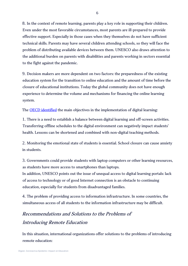8. In the context of remote learning, parents play a key role in supporting their children. Even under the most favorable circumstances, most parents are ill-prepared to provide effective support. Especially in those cases when they themselves do not have sufficient technical skills. Parents may have several children attending schools, so they will face the problem of distributing available devices between them. UNESCO also draws attention to the additional burden on parents with disabilities and parents working in sectors essential to the fight against the pandemic.

9. Decision makers are more dependent on two factors: the preparedness of the existing education system for the transition to online education and the amount of time before the closure of educational institutions. Today the global community does not have enough experience to determine the volume and mechanisms for financing the online learning system.

The **OECD** identified the main objectives in the implementation of digital learning:

1. There is a need to establish a balance between digital learning and off-screen activities. Transferring offline schedules to the digital environment can negatively impact students' health. Lessons can be shortened and combined with non-digital teaching methods.

2. Monitoring the emotional state of students is essential. School closure can cause anxiety in students.

3. Governments could provide students with laptop computers or other learning resources, as students have more access to smartphones than laptops.

In addition, UNESCO points out the issue of unequal access to digital learning portals: lack of access to technology or of good Internet connection is an obstacle to continuing education, especially for students from disadvantaged families.

4. The problem of providing access to information infrastructure. In some countries, the simultaneous access of all students to the information infrastructure may be difficult.

## <span id="page-6-0"></span>Recommendations and Solutions to the Problems of Introducing Remote Education

In this situation, international organizations offer solutions to the problems of introducing remote education: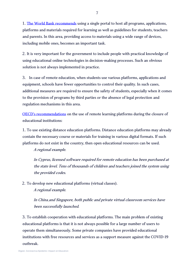1. [The World Bank recommends](http://documents.worldbank.org/curated/en/266811584657843186/pdf/Rapid-Response-Briefing-%20Note-Remote-Learning-and-COVID-19-Outbreak.pdf) using a single portal to host all programs, applications, platforms and materials required for learning as well as guidelines for students, teachers and parents. In this area, providing access to materials using a wide range of devices, including mobile ones, becomes an important task.

2. It is very important for the government to include people with practical knowledge of using educational online technologies in decision-making processes. Such an obvious solution is not always implemented in practice.

3. In case of remote education, when students use various platforms, applications and equipment, schools have fewer opportunities to control their quality. In such cases, additional measures are required to ensure the safety of students, especially when it comes to the provision of programs by third parties or the absence of legal protection and regulation mechanisms in this area.

[OECD's recommendations](https://read.oecd-ilibrary.org/view/?ref=120_120544-8ksud7oaj2&title=Education_responses_to_Covid-19_Embracing_digital_learning_and_online_collaboration) on the use of remote learning platforms during the closure of educational institutions:

1. To use existing distance education platforms. Distance education platforms may already contain the necessary course or materials for training in various digital formats. If such platforms do not exist in the country, then open educational resources can be used.

A regional example.

In Cyprus, licensed software required for remote education has been purchased at the state level. Tens of thousands of children and teachers joined the system using the provided codes.

2. To develop new educational platforms (virtual classes).

A regional example.

In China and Singapore, both public and private virtual classroom services have been successfully launched.

3. To establish cooperation with educational platforms. The main problem of existing educational platforms is that it is not always possible for a large number of users to operate them simultaneously. Some private companies have provided educational institutions with free resources and services as a support measure against the COVID-19 outbreak.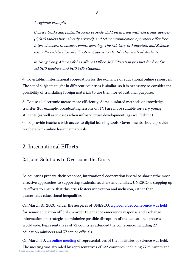A regional example.

Cypriot banks and philanthropists provide children in need with electronic devices (6,000 tablets have already arrived), and telecommunication operators offer free Internet access to ensure remote learning. The Ministry of Education and Science has collected data for all schools in Cyprus to identify the needs of students.

In Hong Kong, Microsoft has offered Office 365 Education product for free for 50,000 teachers and 800,000 students.

4. To establish international cooperation for the exchange of educational online resources. The set of subjects taught in different countries is similar, so it is necessary to consider the possibility of translating foreign materials to use them for educational purposes.

5. To use all electronic means more efficiently. Some outdated methods of knowledge transfer (for example, broadcasting lessons on TV) are more suitable for very young students (as well as in cases when infrastructure development lags well behind).

6. To provide teachers with access to digital learning tools. Governments should provide teachers with online learning materials.

## <span id="page-8-0"></span>2. International Efforts

#### <span id="page-8-1"></span>2.1 Joint Solutions to Overcome the Crisis

As countries prepare their response, international cooperation is vital to sharing the most effective approaches to supporting students, teachers and families. UNESCO is stepping up its efforts to ensure that this crisis fosters innovation and inclusion, rather than exacerbates educational inequalities.

On March 10, 2020, under the auspices of UNESCO, [a global videoconference was held](https://ru.unesco.org/news/poskolku-kazhdyy-pyatyy-%20uchashchiysya-ne-poseshchaet-shkolu-yunesko-mobilizuet-ministrov) for senior education officials in order to enhance emergency response and exchange information on strategies to minimize possible disruption of the educational process worldwide. Representatives of 72 countries attended the conference, including 27 education ministers and 37 senior officials.

On March 30, [an online meeting](https://ru.unesco.org/news/v-%20kontekste-covid-19-yunesko-mobilizuet-122-strany-v-celyah-prodvizheniya-otkrytoy-nauki-i) of representatives of the ministries of science was held.

Digest. Coronavirus Epidemic: Impact on Education The meeting was attended by representatives of 122 countries, including 77 ministers and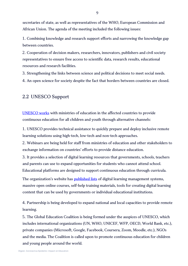secretaries of state, as well as representatives of the WHO, European Commission and African Union. The agenda of the meeting included the following issues:

1. Combining knowledge and research support efforts and narrowing the knowledge gap between countries.

2. Cooperation of decision makers, researchers, innovators, publishers and civil society representatives to ensure free access to scientific data, research results, educational resources and research facilities.

3. Strengthening the links between science and political decisions to meet social needs. 4. An open science for society despite the fact that borders between countries are closed.

#### <span id="page-9-0"></span>2.2 UNESCO Support

[UNESCO works](https://en.unesco.org/themes/education-emergencies/coronavirus-school-closures/support) with ministries of education in the affected countries to provide continuous education for all children and youth through alternative channels:

1. UNESCO provides technical assistance to quickly prepare and deploy inclusive remote learning solutions using high-tech, low-tech and non-tech approaches.

2. Webinars are being held for staff from ministries of education and other stakeholders to exchange information on countries' efforts to provide distance education.

3. It provides a selection of digital learning resources that governments, schools, teachers and parents can use to expand opportunities for students who cannot attend school. Educational platforms are designed to support continuous education through curricula.

The organization's website has **[published lists](https://ru.unesco.org/node/320923) of digital learning management systems**, massive open online courses, self-help training materials, tools for creating digital learning content that can be used by governments or individual educational institutions.

4. Partnership is being developed to expand national and local capacities to provide remote learning.

5. The Global Education Coalition is being formed under the auspices of UNESCO, which includes international organizations (UN, WHO, UNICEF, WFP, OECD, World Bank, etc.), private companies (Microsoft, Google, Facebook, Coursera, Zoom, Moodle, etc.), NGOs and the media. The Coalition is called upon to promote continuous education for children and young people around the world.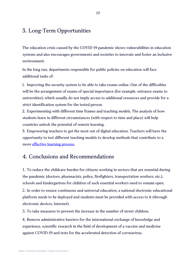## <span id="page-10-0"></span>3. Long-Term Opportunities

The education crisis caused by the COVID-19 pandemic shows vulnerabilities in education systems and also encourages governments and societies to innovate and foster an inclusive environment.

In the long run, departments responsible for public policies on education will face additional tasks of:

1. Improving the security system to be able to take exams online. One of the difficulties will be the arrangement of exams of special importance (for example, entrance exams to universities), which usually do not imply access to additional resources and provide for a strict identification system for the tested person.

2. Experimenting with different time frames and teaching models. The analysis of how students learn in different circumstances (with respect to time and place) will help countries unlock the potential of remote learning.

3. Empowering teachers to get the most out of digital education. Teachers will have the opportunity to test different teaching models to develop methods that contribute to a more [effective learning process.](https://read.oecd-ilibrary.org/view/?ref=120_120544-8ksud7oaj2&title=Education_responses_to_Covid-19_Embracing_digital_learning_and_online_collaboration)

## <span id="page-10-1"></span>4. Conclusions and Recommendations

1. To reduce the childcare burden for citizens working in sectors that are essential during the pandemic (doctors, pharmacists, police, firefighters, transportation workers, etc.), schools and kindergartens for children of such essential workers need to remain open.

2. In order to ensure continuous and universal education, a national electronic educational platform needs to be deployed and students must be provided with access to it (through electronic devices, Internet).

3. To take measures to prevent the increase in the number of street children.

4. Remove administrative barriers for the international exchange of knowledge and experience, scientific research in the field of development of a vaccine and medicine against COVID-19 and tests for the accelerated detection of coronavirus.